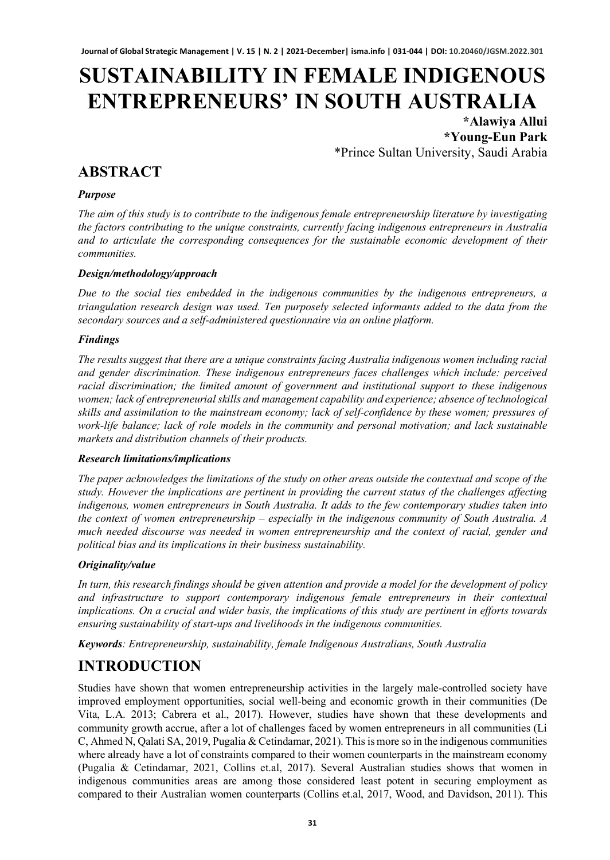# **SUSTAINABILITY IN FEMALE INDIGENOUS ENTREPRENEURS' IN SOUTH AUSTRALIA**

**\*Alawiya Allui \*Young-Eun Park** \*Prince Sultan University, Saudi Arabia

### **ABSTRACT**

#### *Purpose*

*The aim of this study is to contribute to the indigenous female entrepreneurship literature by investigating the factors contributing to the unique constraints, currently facing indigenous entrepreneurs in Australia and to articulate the corresponding consequences for the sustainable economic development of their communities.* 

#### *Design/methodology/approach*

*Due to the social ties embedded in the indigenous communities by the indigenous entrepreneurs, a triangulation research design was used. Ten purposely selected informants added to the data from the secondary sources and a self-administered questionnaire via an online platform.* 

#### *Findings*

*The results suggest that there are a unique constraints facing Australia indigenous women including racial and gender discrimination. These indigenous entrepreneurs faces challenges which include: perceived racial discrimination; the limited amount of government and institutional support to these indigenous women; lack of entrepreneurial skills and management capability and experience; absence of technological skills and assimilation to the mainstream economy; lack of self-confidence by these women; pressures of work-life balance; lack of role models in the community and personal motivation; and lack sustainable markets and distribution channels of their products.*

#### *Research limitations/implications*

*The paper acknowledges the limitations of the study on other areas outside the contextual and scope of the study. However the implications are pertinent in providing the current status of the challenges affecting indigenous, women entrepreneurs in South Australia. It adds to the few contemporary studies taken into the context of women entrepreneurship – especially in the indigenous community of South Australia. A much needed discourse was needed in women entrepreneurship and the context of racial, gender and political bias and its implications in their business sustainability.* 

#### *Originality/value*

*In turn, this research findings should be given attention and provide a model for the development of policy and infrastructure to support contemporary indigenous female entrepreneurs in their contextual implications. On a crucial and wider basis, the implications of this study are pertinent in efforts towards ensuring sustainability of start-ups and livelihoods in the indigenous communities.* 

*Keywords: Entrepreneurship, sustainability, female Indigenous Australians, South Australia*

# **INTRODUCTION**

Studies have shown that women entrepreneurship activities in the largely male-controlled society have improved employment opportunities, social well-being and economic growth in their communities (De Vita, L.A. 2013; Cabrera et al., 2017). However, studies have shown that these developments and community growth accrue, after a lot of challenges faced by women entrepreneurs in all communities (Li C, Ahmed N, Qalati SA, 2019, Pugalia & Cetindamar, 2021). This is more so in the indigenous communities where already have a lot of constraints compared to their women counterparts in the mainstream economy (Pugalia & Cetindamar, 2021, Collins et.al, 2017). Several Australian studies shows that women in indigenous communities areas are among those considered least potent in securing employment as compared to their Australian women counterparts (Collins et.al, 2017, Wood, and Davidson, 2011). This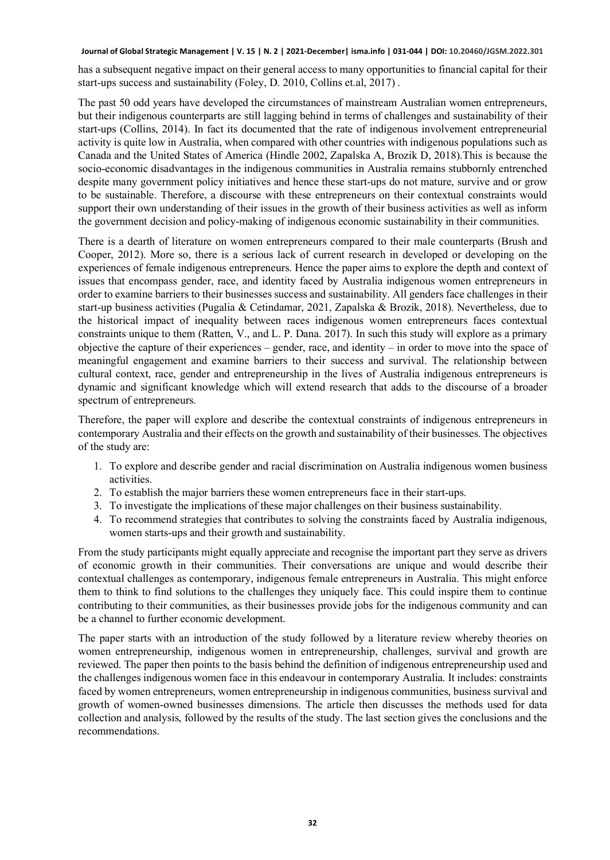has a subsequent negative impact on their general access to many opportunities to financial capital for their start-ups success and sustainability (Foley, D. 2010, Collins et.al, 2017) .

The past 50 odd years have developed the circumstances of mainstream Australian women entrepreneurs, but their indigenous counterparts are still lagging behind in terms of challenges and sustainability of their start-ups (Collins, 2014). In fact its documented that the rate of indigenous involvement entrepreneurial activity is quite low in Australia, when compared with other countries with indigenous populations such as Canada and the United States of America (Hindle 2002, Zapalska A, Brozik D, 2018).This is because the socio-economic disadvantages in the indigenous communities in Australia remains stubbornly entrenched despite many government policy initiatives and hence these start-ups do not mature, survive and or grow to be sustainable. Therefore, a discourse with these entrepreneurs on their contextual constraints would support their own understanding of their issues in the growth of their business activities as well as inform the government decision and policy-making of indigenous economic sustainability in their communities.

There is a dearth of literature on women entrepreneurs compared to their male counterparts (Brush and Cooper, 2012). More so, there is a serious lack of current research in developed or developing on the experiences of female indigenous entrepreneurs. Hence the paper aims to explore the depth and context of issues that encompass gender, race, and identity faced by Australia indigenous women entrepreneurs in order to examine barriers to their businesses success and sustainability. All genders face challenges in their start-up business activities (Pugalia & Cetindamar, 2021, Zapalska & Brozik, 2018). Nevertheless, due to the historical impact of inequality between races indigenous women entrepreneurs faces contextual constraints unique to them (Ratten, V., and L. P. Dana. 2017). In such this study will explore as a primary objective the capture of their experiences – gender, race, and identity – in order to move into the space of meaningful engagement and examine barriers to their success and survival. The relationship between cultural context, race, gender and entrepreneurship in the lives of Australia indigenous entrepreneurs is dynamic and significant knowledge which will extend research that adds to the discourse of a broader spectrum of entrepreneurs.

Therefore, the paper will explore and describe the contextual constraints of indigenous entrepreneurs in contemporary Australia and their effects on the growth and sustainability of their businesses. The objectives of the study are:

- 1. To explore and describe gender and racial discrimination on Australia indigenous women business activities.
- 2. To establish the major barriers these women entrepreneurs face in their start-ups.
- 3. To investigate the implications of these major challenges on their business sustainability.
- 4. To recommend strategies that contributes to solving the constraints faced by Australia indigenous, women starts-ups and their growth and sustainability.

From the study participants might equally appreciate and recognise the important part they serve as drivers of economic growth in their communities. Their conversations are unique and would describe their contextual challenges as contemporary, indigenous female entrepreneurs in Australia. This might enforce them to think to find solutions to the challenges they uniquely face. This could inspire them to continue contributing to their communities, as their businesses provide jobs for the indigenous community and can be a channel to further economic development.

The paper starts with an introduction of the study followed by a literature review whereby theories on women entrepreneurship, indigenous women in entrepreneurship, challenges, survival and growth are reviewed. The paper then points to the basis behind the definition of indigenous entrepreneurship used and the challenges indigenous women face in this endeavour in contemporary Australia. It includes: constraints faced by women entrepreneurs, women entrepreneurship in indigenous communities, business survival and growth of women-owned businesses dimensions. The article then discusses the methods used for data collection and analysis, followed by the results of the study. The last section gives the conclusions and the recommendations.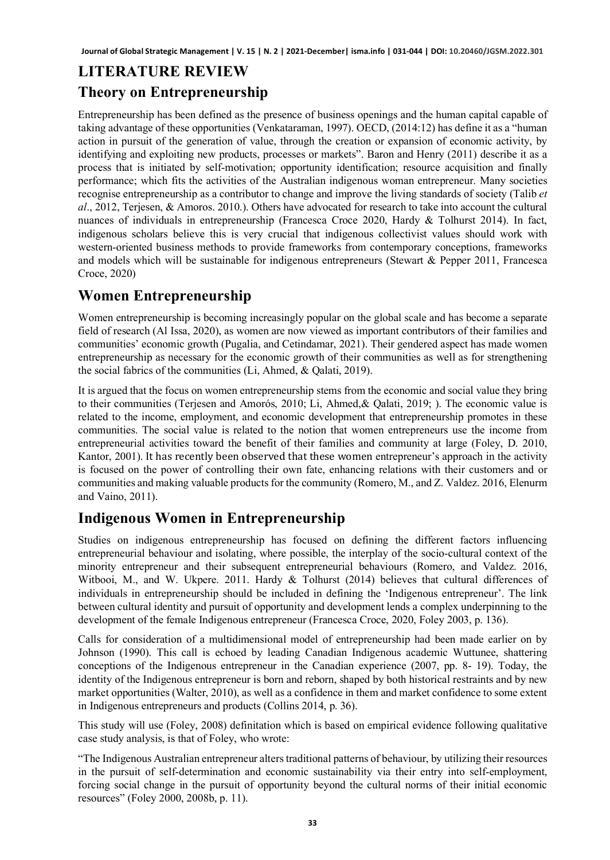# **LITERATURE REVIEW Theory on Entrepreneurship**

Entrepreneurship has been defined as the presence of business openings and the human capital capable of taking advantage of these opportunities (Venkataraman, 1997). OECD, (2014:12) has define it as a "human action in pursuit of the generation of value, through the creation or expansion of economic activity, by identifying and exploiting new products, processes or markets". Baron and Henry (2011) describe it as a process that is initiated by self-motivation; opportunity identification; resource acquisition and finally performance; which fits the activities of the Australian indigenous woman entrepreneur. Many societies recognise entrepreneurship as a contributor to change and improve the living standards of society (Talib *et al*., 2012, Terjesen, & Amoros. 2010.). Others have advocated for research to take into account the cultural nuances of individuals in entrepreneurship (Francesca Croce 2020, Hardy & Tolhurst 2014). In fact, indigenous scholars believe this is very crucial that indigenous collectivist values should work with western-oriented business methods to provide frameworks from contemporary conceptions, frameworks and models which will be sustainable for indigenous entrepreneurs (Stewart & Pepper 2011, Francesca Croce, 2020)

# **Women Entrepreneurship**

Women entrepreneurship is becoming increasingly popular on the global scale and has become a separate field of research (Al Issa, 2020), as women are now viewed as important contributors of their families and communities' economic growth (Pugalia, and Cetindamar, 2021). Their gendered aspect has made women entrepreneurship as necessary for the economic growth of their communities as well as for strengthening the social fabrics of the communities (Li, Ahmed, & Qalati, 2019).

It is argued that the focus on women entrepreneurship stems from the economic and social value they bring to their communities (Terjesen and Amorós, 2010; Li, Ahmed,& Qalati, 2019; ). The economic value is related to the income, employment, and economic development that entrepreneurship promotes in these communities. The social value is related to the notion that women entrepreneurs use the income from entrepreneurial activities toward the benefit of their families and community at large (Foley, D. 2010, Kantor, 2001). It has recently been observed that these women entrepreneur's approach in the activity is focused on the power of controlling their own fate, enhancing relations with their customers and or communities and making valuable products for the community (Romero, M., and Z. Valdez. 2016, Elenurm and Vaino, 2011).

# **Indigenous Women in Entrepreneurship**

Studies on indigenous entrepreneurship has focused on defining the different factors influencing entrepreneurial behaviour and isolating, where possible, the interplay of the socio-cultural context of the minority entrepreneur and their subsequent entrepreneurial behaviours (Romero, and Valdez. 2016, Witbooi, M., and W. Ukpere. 2011. Hardy & Tolhurst (2014) believes that cultural differences of individuals in entrepreneurship should be included in defining the 'Indigenous entrepreneur'. The link between cultural identity and pursuit of opportunity and development lends a complex underpinning to the development of the female Indigenous entrepreneur (Francesca Croce, 2020, Foley 2003, p. 136).

Calls for consideration of a multidimensional model of entrepreneurship had been made earlier on by Johnson (1990). This call is echoed by leading Canadian Indigenous academic Wuttunee, shattering conceptions of the Indigenous entrepreneur in the Canadian experience (2007, pp. 8- 19). Today, the identity of the Indigenous entrepreneur is born and reborn, shaped by both historical restraints and by new market opportunities (Walter, 2010), as well as a confidence in them and market confidence to some extent in Indigenous entrepreneurs and products (Collins 2014, p. 36).

This study will use (Foley, 2008) definitation which is based on empirical evidence following qualitative case study analysis, is that of Foley, who wrote:

"The Indigenous Australian entrepreneur alters traditional patterns of behaviour, by utilizing their resources in the pursuit of self-determination and economic sustainability via their entry into self-employment, forcing social change in the pursuit of opportunity beyond the cultural norms of their initial economic resources" (Foley 2000, 2008b, p. 11).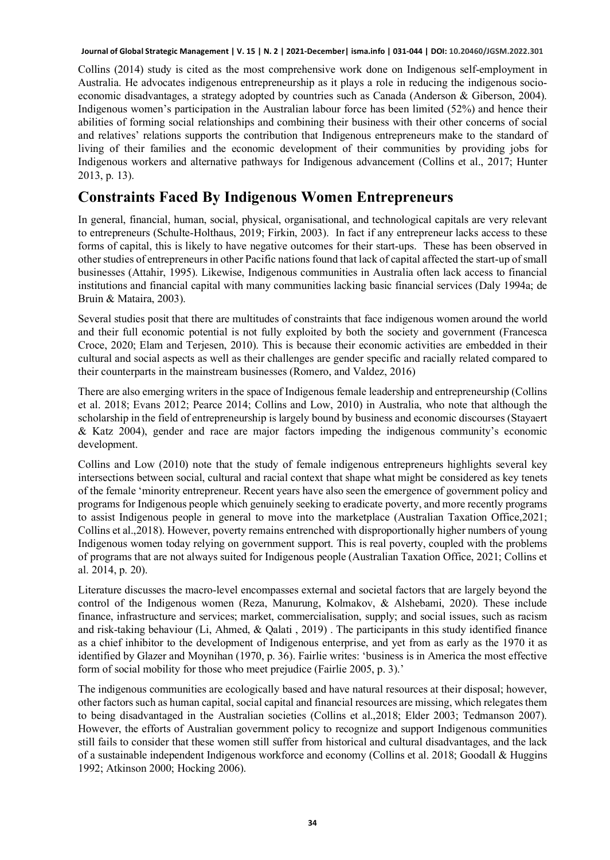Collins (2014) study is cited as the most comprehensive work done on Indigenous self-employment in Australia. He advocates indigenous entrepreneurship as it plays a role in reducing the indigenous socioeconomic disadvantages, a strategy adopted by countries such as Canada (Anderson & Giberson, 2004). Indigenous women's participation in the Australian labour force has been limited (52%) and hence their abilities of forming social relationships and combining their business with their other concerns of social and relatives' relations supports the contribution that Indigenous entrepreneurs make to the standard of living of their families and the economic development of their communities by providing jobs for Indigenous workers and alternative pathways for Indigenous advancement (Collins et al., 2017; Hunter 2013, p. 13).

### **Constraints Faced By Indigenous Women Entrepreneurs**

In general, financial, human, social, physical, organisational, and technological capitals are very relevant to entrepreneurs (Schulte-Holthaus, 2019; Firkin, 2003). In fact if any entrepreneur lacks access to these forms of capital, this is likely to have negative outcomes for their start-ups. These has been observed in other studies of entrepreneurs in other Pacific nations found that lack of capital affected the start-up of small businesses (Attahir, 1995). Likewise, Indigenous communities in Australia often lack access to financial institutions and financial capital with many communities lacking basic financial services (Daly 1994a; de Bruin & Mataira, 2003).

Several studies posit that there are multitudes of constraints that face indigenous women around the world and their full economic potential is not fully exploited by both the society and government (Francesca Croce, 2020; Elam and Terjesen, 2010). This is because their economic activities are embedded in their cultural and social aspects as well as their challenges are gender specific and racially related compared to their counterparts in the mainstream businesses (Romero, and Valdez, 2016)

There are also emerging writers in the space of Indigenous female leadership and entrepreneurship (Collins et al. 2018; Evans 2012; Pearce 2014; Collins and Low, 2010) in Australia, who note that although the scholarship in the field of entrepreneurship is largely bound by business and economic discourses (Stayaert & Katz 2004), gender and race are major factors impeding the indigenous community's economic development.

Collins and Low (2010) note that the study of female indigenous entrepreneurs highlights several key intersections between social, cultural and racial context that shape what might be considered as key tenets of the female 'minority entrepreneur. Recent years have also seen the emergence of government policy and programs for Indigenous people which genuinely seeking to eradicate poverty, and more recently programs to assist Indigenous people in general to move into the marketplace (Australian Taxation Office,2021; Collins et al.,2018). However, poverty remains entrenched with disproportionally higher numbers of young Indigenous women today relying on government support. This is real poverty, coupled with the problems of programs that are not always suited for Indigenous people (Australian Taxation Office, 2021; Collins et al. 2014, p. 20).

Literature discusses the macro-level encompasses external and societal factors that are largely beyond the control of the Indigenous women (Reza, Manurung, Kolmakov, & Alshebami, 2020). These include finance, infrastructure and services; market, commercialisation, supply; and social issues, such as racism and risk-taking behaviour (Li, Ahmed, & Qalati , 2019) . The participants in this study identified finance as a chief inhibitor to the development of Indigenous enterprise, and yet from as early as the 1970 it as identified by Glazer and Moynihan (1970, p. 36). Fairlie writes: 'business is in America the most effective form of social mobility for those who meet prejudice (Fairlie 2005, p. 3).'

The indigenous communities are ecologically based and have natural resources at their disposal; however, other factors such as human capital, social capital and financial resources are missing, which relegates them to being disadvantaged in the Australian societies (Collins et al.,2018; Elder 2003; Tedmanson 2007). However, the efforts of Australian government policy to recognize and support Indigenous communities still fails to consider that these women still suffer from historical and cultural disadvantages, and the lack of a sustainable independent Indigenous workforce and economy (Collins et al. 2018; Goodall & Huggins 1992; Atkinson 2000; Hocking 2006).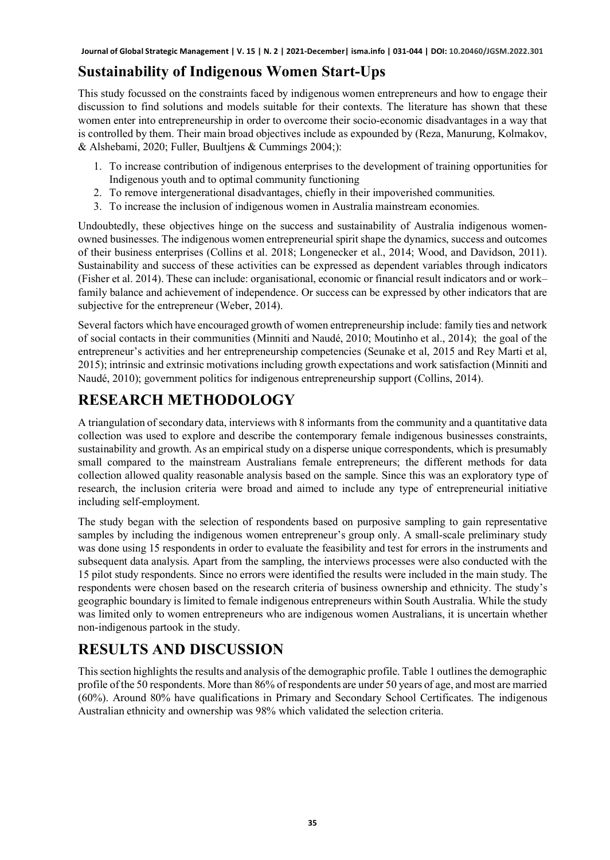# **Sustainability of Indigenous Women Start-Ups**

This study focussed on the constraints faced by indigenous women entrepreneurs and how to engage their discussion to find solutions and models suitable for their contexts. The literature has shown that these women enter into entrepreneurship in order to overcome their socio-economic disadvantages in a way that is controlled by them. Their main broad objectives include as expounded by (Reza, Manurung, Kolmakov, & Alshebami, 2020; Fuller, Buultjens & Cummings 2004;):

- 1. To increase contribution of indigenous enterprises to the development of training opportunities for Indigenous youth and to optimal community functioning
- 2. To remove intergenerational disadvantages, chiefly in their impoverished communities.
- 3. To increase the inclusion of indigenous women in Australia mainstream economies.

Undoubtedly, these objectives hinge on the success and sustainability of Australia indigenous womenowned businesses. The indigenous women entrepreneurial spirit shape the dynamics, success and outcomes of their business enterprises (Collins et al. 2018; Longenecker et al., 2014; Wood, and Davidson, 2011). Sustainability and success of these activities can be expressed as dependent variables through indicators (Fisher et al. 2014). These can include: organisational, economic or financial result indicators and or work– family balance and achievement of independence. Or success can be expressed by other indicators that are subjective for the entrepreneur (Weber, 2014).

Several factors which have encouraged growth of women entrepreneurship include: family ties and network of social contacts in their communities (Minniti and Naudé, 2010; Moutinho et al., 2014); the goal of the entrepreneur's activities and her entrepreneurship competencies (Seunake et al, 2015 and Rey Marti et al, 2015); intrinsic and extrinsic motivations including growth expectations and work satisfaction (Minniti and Naudé, 2010); government politics for indigenous entrepreneurship support (Collins, 2014).

# **RESEARCH METHODOLOGY**

A triangulation of secondary data, interviews with 8 informants from the community and a quantitative data collection was used to explore and describe the contemporary female indigenous businesses constraints, sustainability and growth. As an empirical study on a disperse unique correspondents, which is presumably small compared to the mainstream Australians female entrepreneurs; the different methods for data collection allowed quality reasonable analysis based on the sample. Since this was an exploratory type of research, the inclusion criteria were broad and aimed to include any type of entrepreneurial initiative including self-employment.

The study began with the selection of respondents based on purposive sampling to gain representative samples by including the indigenous women entrepreneur's group only. A small-scale preliminary study was done using 15 respondents in order to evaluate the feasibility and test for errors in the instruments and subsequent data analysis. Apart from the sampling, the interviews processes were also conducted with the 15 pilot study respondents. Since no errors were identified the results were included in the main study. The respondents were chosen based on the research criteria of business ownership and ethnicity. The study's geographic boundary is limited to female indigenous entrepreneurs within South Australia. While the study was limited only to women entrepreneurs who are indigenous women Australians, it is uncertain whether non-indigenous partook in the study.

# **RESULTS AND DISCUSSION**

This section highlights the results and analysis of the demographic profile. Table 1 outlines the demographic profile of the 50 respondents. More than 86% of respondents are under 50 years of age, and most are married (60%). Around 80% have qualifications in Primary and Secondary School Certificates. The indigenous Australian ethnicity and ownership was 98% which validated the selection criteria.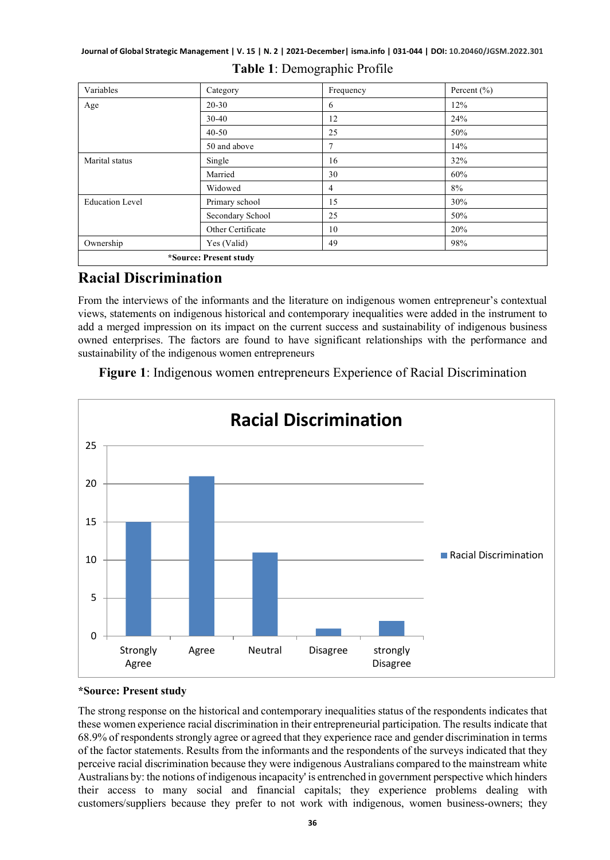| Variables              | Category          | Frequency | Percent $(\% )$ |  |
|------------------------|-------------------|-----------|-----------------|--|
| Age                    | $20 - 30$         | 6         | 12%             |  |
|                        | $30 - 40$         | 12        | 24%             |  |
|                        | $40 - 50$         | 25        | 50%             |  |
|                        | 50 and above      | 7         | 14%             |  |
| Marital status         | Single            | 16        | 32%             |  |
|                        | Married           | 30        | 60%             |  |
|                        | Widowed           | 4         | 8%              |  |
| <b>Education Level</b> | Primary school    | 15        | 30%             |  |
|                        | Secondary School  | 25        | 50%             |  |
|                        | Other Certificate | 10        | 20%             |  |
| Ownership              | Yes (Valid)       | 49        | 98%             |  |
| *Source: Present study |                   |           |                 |  |

#### **Table 1**: Demographic Profile

### **Racial Discrimination**

From the interviews of the informants and the literature on indigenous women entrepreneur's contextual views, statements on indigenous historical and contemporary inequalities were added in the instrument to add a merged impression on its impact on the current success and sustainability of indigenous business owned enterprises. The factors are found to have significant relationships with the performance and sustainability of the indigenous women entrepreneurs

**Figure 1**: Indigenous women entrepreneurs Experience of Racial Discrimination



#### **\*Source: Present study**

The strong response on the historical and contemporary inequalities status of the respondents indicates that these women experience racial discrimination in their entrepreneurial participation. The results indicate that 68.9% of respondents strongly agree or agreed that they experience race and gender discrimination in terms of the factor statements. Results from the informants and the respondents of the surveys indicated that they perceive racial discrimination because they were indigenous Australians compared to the mainstream white Australians by: the notions of indigenous incapacity' is entrenched in government perspective which hinders their access to many social and financial capitals; they experience problems dealing with customers/suppliers because they prefer to not work with indigenous, women business-owners; they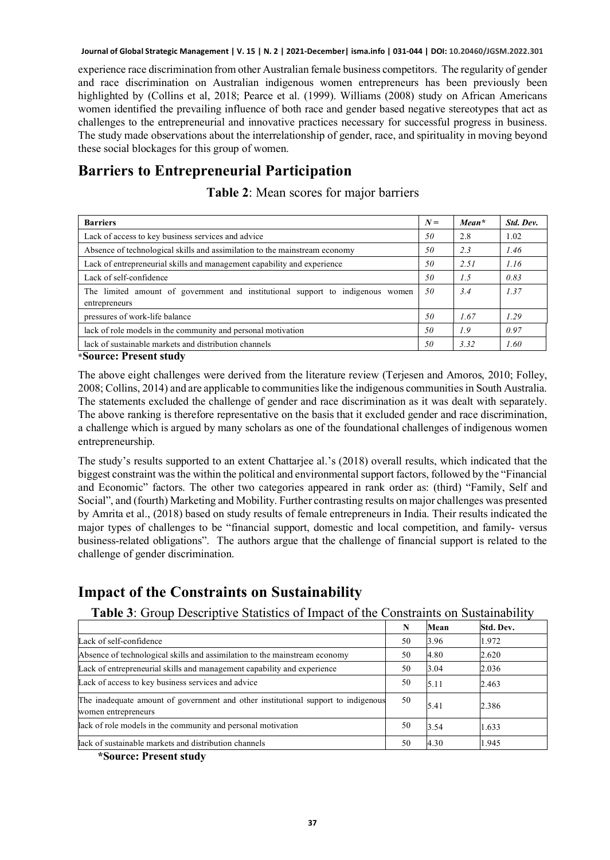experience race discrimination from other Australian female business competitors. The regularity of gender and race discrimination on Australian indigenous women entrepreneurs has been previously been highlighted by (Collins et al, 2018; Pearce et al. (1999). Williams (2008) study on African Americans women identified the prevailing influence of both race and gender based negative stereotypes that act as challenges to the entrepreneurial and innovative practices necessary for successful progress in business. The study made observations about the interrelationship of gender, race, and spirituality in moving beyond these social blockages for this group of women.

### **Barriers to Entrepreneurial Participation**

**Table 2**: Mean scores for major barriers

| <b>Barriers</b>                                                                                 |  | $Mean*$ | Std. Dev. |
|-------------------------------------------------------------------------------------------------|--|---------|-----------|
| Lack of access to key business services and advice                                              |  | 2.8     | 1.02      |
| Absence of technological skills and assimilation to the mainstream economy                      |  | 2.3     | 1.46      |
| Lack of entrepreneurial skills and management capability and experience                         |  | 2.51    | 1.16      |
| Lack of self-confidence                                                                         |  | 1.5     | 0.83      |
| The limited amount of government and institutional support to indigenous women<br>entrepreneurs |  | 3.4     | 1.37      |
| pressures of work-life balance                                                                  |  | 1.67    | 1.29      |
| lack of role models in the community and personal motivation                                    |  | 1.9     | 0.97      |
| lack of sustainable markets and distribution channels                                           |  | 3.32    | 1.60      |

**\*Source: Present study**

The above eight challenges were derived from the literature review (Terjesen and Amoros, 2010; Folley, 2008; Collins, 2014) and are applicable to communities like the indigenous communities in South Australia. The statements excluded the challenge of gender and race discrimination as it was dealt with separately. The above ranking is therefore representative on the basis that it excluded gender and race discrimination, a challenge which is argued by many scholars as one of the foundational challenges of indigenous women entrepreneurship.

The study's results supported to an extent Chattarjee al.'s (2018) overall results, which indicated that the biggest constraint was the within the political and environmental support factors, followed by the "Financial and Economic" factors. The other two categories appeared in rank order as: (third) "Family, Self and Social", and (fourth) Marketing and Mobility. Further contrasting results on major challenges was presented by Amrita et al., (2018) based on study results of female entrepreneurs in India. Their results indicated the major types of challenges to be "financial support, domestic and local competition, and family- versus business-related obligations". The authors argue that the challenge of financial support is related to the challenge of gender discrimination.

# **Impact of the Constraints on Sustainability**

**Table 3**: Group Descriptive Statistics of Impact of the Constraints on Sustainability

|                                                                                                          | N  | Mean | Std. Dev. |
|----------------------------------------------------------------------------------------------------------|----|------|-----------|
| Lack of self-confidence                                                                                  | 50 | 3.96 | 1.972     |
| Absence of technological skills and assimilation to the mainstream economy                               | 50 | 4.80 | 2.620     |
| Lack of entrepreneurial skills and management capability and experience                                  | 50 | 3.04 | 2.036     |
| Lack of access to key business services and advice                                                       | 50 | 5.11 | 2.463     |
| The inadequate amount of government and other institutional support to indigenous<br>women entrepreneurs | 50 | 5.41 | 2.386     |
| lack of role models in the community and personal motivation                                             | 50 | 3.54 | 1.633     |
| lack of sustainable markets and distribution channels                                                    | 50 | 4.30 | 1.945     |

 **\*Source: Present study**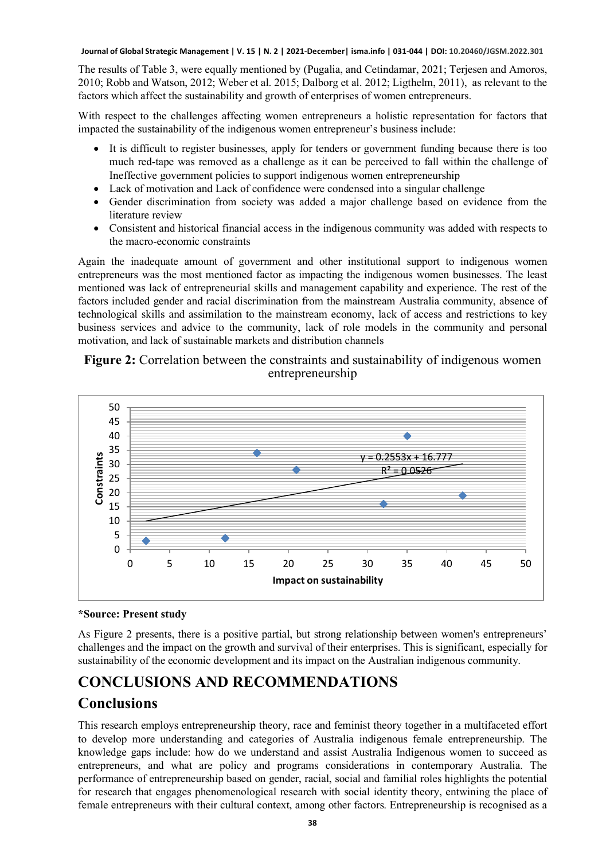The results of Table 3, were equally mentioned by (Pugalia, and Cetindamar, 2021; Terjesen and Amoros, 2010; Robb and Watson, 2012; Weber et al. 2015; Dalborg et al. 2012; Ligthelm, 2011), as relevant to the factors which affect the sustainability and growth of enterprises of women entrepreneurs.

With respect to the challenges affecting women entrepreneurs a holistic representation for factors that impacted the sustainability of the indigenous women entrepreneur's business include:

- It is difficult to register businesses, apply for tenders or government funding because there is too much red-tape was removed as a challenge as it can be perceived to fall within the challenge of Ineffective government policies to support indigenous women entrepreneurship
- Lack of motivation and Lack of confidence were condensed into a singular challenge
- Gender discrimination from society was added a major challenge based on evidence from the literature review
- Consistent and historical financial access in the indigenous community was added with respects to the macro-economic constraints

Again the inadequate amount of government and other institutional support to indigenous women entrepreneurs was the most mentioned factor as impacting the indigenous women businesses. The least mentioned was lack of entrepreneurial skills and management capability and experience. The rest of the factors included gender and racial discrimination from the mainstream Australia community, absence of technological skills and assimilation to the mainstream economy, lack of access and restrictions to key business services and advice to the community, lack of role models in the community and personal motivation, and lack of sustainable markets and distribution channels

#### **Figure 2:** Correlation between the constraints and sustainability of indigenous women entrepreneurship



#### **\*Source: Present study**

As Figure 2 presents, there is a positive partial, but strong relationship between women's entrepreneurs' challenges and the impact on the growth and survival of their enterprises. This is significant, especially for sustainability of the economic development and its impact on the Australian indigenous community.

# **CONCLUSIONS AND RECOMMENDATIONS**

### **Conclusions**

This research employs entrepreneurship theory, race and feminist theory together in a multifaceted effort to develop more understanding and categories of Australia indigenous female entrepreneurship. The knowledge gaps include: how do we understand and assist Australia Indigenous women to succeed as entrepreneurs, and what are policy and programs considerations in contemporary Australia. The performance of entrepreneurship based on gender, racial, social and familial roles highlights the potential for research that engages phenomenological research with social identity theory, entwining the place of female entrepreneurs with their cultural context, among other factors. Entrepreneurship is recognised as a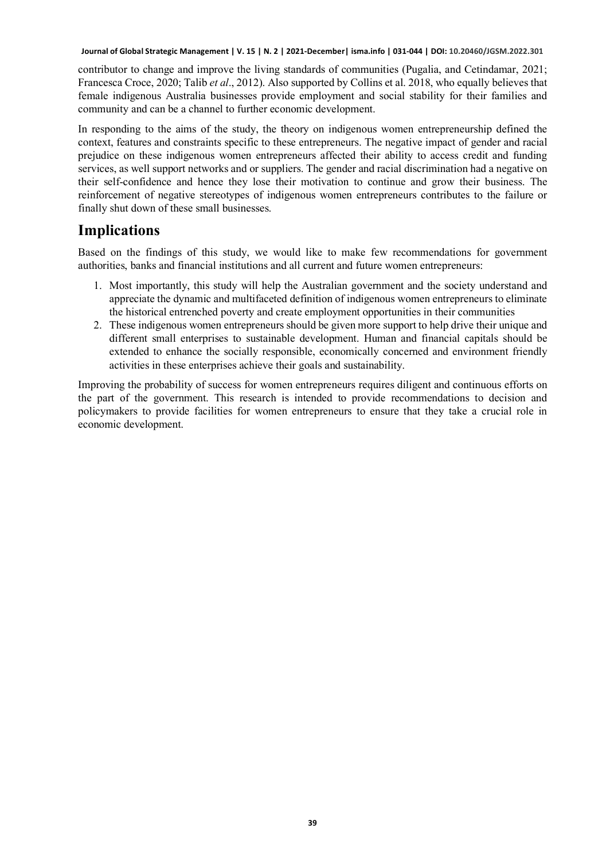contributor to change and improve the living standards of communities (Pugalia, and Cetindamar, 2021; Francesca Croce, 2020; Talib *et al*., 2012). Also supported by Collins et al. 2018, who equally believes that female indigenous Australia businesses provide employment and social stability for their families and community and can be a channel to further economic development.

In responding to the aims of the study, the theory on indigenous women entrepreneurship defined the context, features and constraints specific to these entrepreneurs. The negative impact of gender and racial prejudice on these indigenous women entrepreneurs affected their ability to access credit and funding services, as well support networks and or suppliers. The gender and racial discrimination had a negative on their self-confidence and hence they lose their motivation to continue and grow their business. The reinforcement of negative stereotypes of indigenous women entrepreneurs contributes to the failure or finally shut down of these small businesses.

### **Implications**

Based on the findings of this study, we would like to make few recommendations for government authorities, banks and financial institutions and all current and future women entrepreneurs:

- 1. Most importantly, this study will help the Australian government and the society understand and appreciate the dynamic and multifaceted definition of indigenous women entrepreneurs to eliminate the historical entrenched poverty and create employment opportunities in their communities
- 2. These indigenous women entrepreneurs should be given more support to help drive their unique and different small enterprises to sustainable development. Human and financial capitals should be extended to enhance the socially responsible, economically concerned and environment friendly activities in these enterprises achieve their goals and sustainability.

Improving the probability of success for women entrepreneurs requires diligent and continuous efforts on the part of the government. This research is intended to provide recommendations to decision and policymakers to provide facilities for women entrepreneurs to ensure that they take a crucial role in economic development.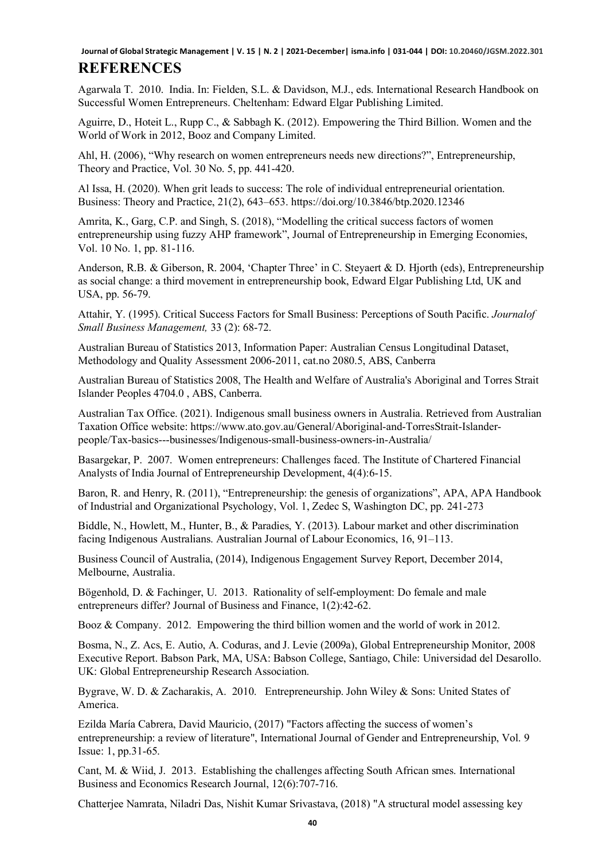### **REFERENCES**

Agarwala T. 2010. India. In: Fielden, S.L. & Davidson, M.J., eds. International Research Handbook on Successful Women Entrepreneurs. Cheltenham: Edward Elgar Publishing Limited.

Aguirre, D., Hoteit L., Rupp C., & Sabbagh K. (2012). Empowering the Third Billion. Women and the World of Work in 2012, Booz and Company Limited.

Ahl, H. (2006), "Why research on women entrepreneurs needs new directions?", Entrepreneurship, Theory and Practice, Vol. 30 No. 5, pp. 441-420.

Al Issa, H. (2020). When grit leads to success: The role of individual entrepreneurial orientation. Business: Theory and Practice, 21(2), 643–653. https://doi.org/10.3846/btp.2020.12346

Amrita, K., Garg, C.P. and Singh, S. (2018), "Modelling the critical success factors of women entrepreneurship using fuzzy AHP framework", Journal of Entrepreneurship in Emerging Economies, Vol. 10 No. 1, pp. 81-116.

Anderson, R.B. & Giberson, R. 2004, 'Chapter Three' in C. Steyaert & D. Hjorth (eds), Entrepreneurship as social change: a third movement in entrepreneurship book, Edward Elgar Publishing Ltd, UK and USA, pp. 56-79.

Attahir, Y. (1995). Critical Success Factors for Small Business: Perceptions of South Pacific. *Journalof Small Business Management,* 33 (2): 68-72.

Australian Bureau of Statistics 2013, Information Paper: Australian Census Longitudinal Dataset, Methodology and Quality Assessment 2006-2011, cat.no 2080.5, ABS, Canberra

Australian Bureau of Statistics 2008, The Health and Welfare of Australia's Aboriginal and Torres Strait Islander Peoples 4704.0 , ABS, Canberra.

Australian Tax Office. (2021). Indigenous small business owners in Australia. Retrieved from Australian Taxation Office website: https://www.ato.gov.au/General/Aboriginal-and-TorresStrait-Islanderpeople/Tax-basics---businesses/Indigenous-small-business-owners-in-Australia/

Basargekar, P. 2007. Women entrepreneurs: Challenges faced. The Institute of Chartered Financial Analysts of India Journal of Entrepreneurship Development, 4(4):6-15.

Baron, R. and Henry, R. (2011), "Entrepreneurship: the genesis of organizations", APA, APA Handbook of Industrial and Organizational Psychology, Vol. 1, Zedec S, Washington DC, pp. 241-273

Biddle, N., Howlett, M., Hunter, B., & Paradies, Y. (2013). Labour market and other discrimination facing Indigenous Australians. Australian Journal of Labour Economics, 16, 91–113.

Business Council of Australia, (2014), Indigenous Engagement Survey Report, December 2014, Melbourne, Australia.

Bögenhold, D. & Fachinger, U. 2013. Rationality of self-employment: Do female and male entrepreneurs differ? Journal of Business and Finance, 1(2):42-62.

Booz & Company. 2012. Empowering the third billion women and the world of work in 2012.

Bosma, N., Z. Acs, E. Autio, A. Coduras, and J. Levie (2009a), Global Entrepreneurship Monitor, 2008 Executive Report. Babson Park, MA, USA: Babson College, Santiago, Chile: Universidad del Desarollo. UK: Global Entrepreneurship Research Association.

Bygrave, W. D. & Zacharakis, A. 2010. Entrepreneurship. John Wiley & Sons: United States of America.

Ezilda María Cabrera, David Mauricio, (2017) "Factors affecting the success of women's entrepreneurship: a review of literature", International Journal of Gender and Entrepreneurship, Vol. 9 Issue: 1, pp.31-65.

Cant, M. & Wiid, J. 2013. Establishing the challenges affecting South African smes. International Business and Economics Research Journal, 12(6):707-716.

Chatterjee Namrata, Niladri Das, Nishit Kumar Srivastava, (2018) "A structural model assessing key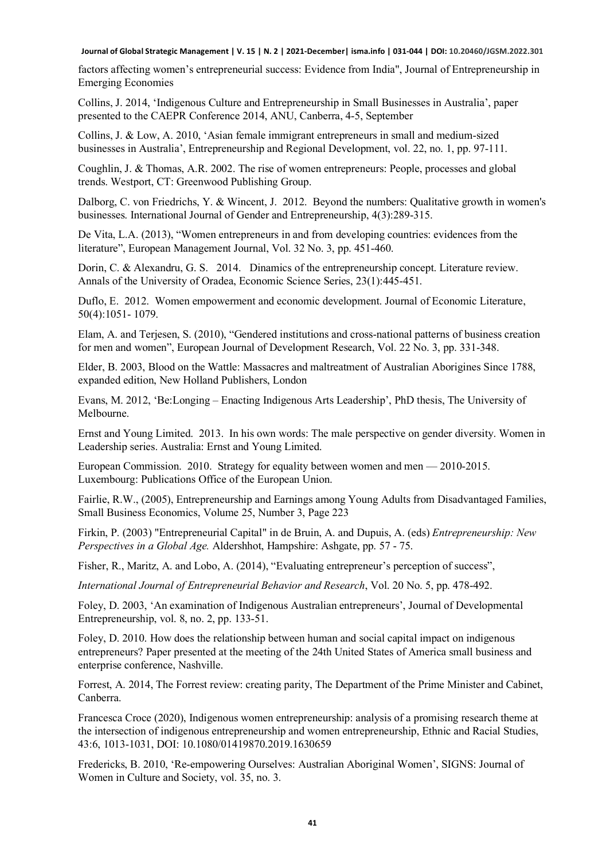factors affecting women's entrepreneurial success: Evidence from India", Journal of Entrepreneurship in Emerging Economies

Collins, J. 2014, 'Indigenous Culture and Entrepreneurship in Small Businesses in Australia', paper presented to the CAEPR Conference 2014, ANU, Canberra, 4-5, September

Collins, J. & Low, A. 2010, 'Asian female immigrant entrepreneurs in small and medium-sized businesses in Australia', Entrepreneurship and Regional Development, vol. 22, no. 1, pp. 97-111.

Coughlin, J. & Thomas, A.R. 2002. The rise of women entrepreneurs: People, processes and global trends. Westport, CT: Greenwood Publishing Group.

Dalborg, C. von Friedrichs, Y. & Wincent, J. 2012. Beyond the numbers: Qualitative growth in women's businesses. International Journal of Gender and Entrepreneurship, 4(3):289-315.

De Vita, L.A. (2013), "Women entrepreneurs in and from developing countries: evidences from the literature", European Management Journal, Vol. 32 No. 3, pp. 451-460.

Dorin, C. & Alexandru, G. S. 2014. Dinamics of the entrepreneurship concept. Literature review. Annals of the University of Oradea, Economic Science Series, 23(1):445-451.

Duflo, E. 2012. Women empowerment and economic development. Journal of Economic Literature, 50(4):1051- 1079.

Elam, A. and Terjesen, S. (2010), "Gendered institutions and cross-national patterns of business creation for men and women", European Journal of Development Research, Vol. 22 No. 3, pp. 331-348.

Elder, B. 2003, Blood on the Wattle: Massacres and maltreatment of Australian Aborigines Since 1788, expanded edition, New Holland Publishers, London

Evans, M. 2012, 'Be:Longing – Enacting Indigenous Arts Leadership', PhD thesis, The University of Melbourne.

Ernst and Young Limited. 2013. In his own words: The male perspective on gender diversity. Women in Leadership series. Australia: Ernst and Young Limited.

European Commission. 2010. Strategy for equality between women and men — 2010-2015. Luxembourg: Publications Office of the European Union.

Fairlie, R.W., (2005), Entrepreneurship and Earnings among Young Adults from Disadvantaged Families, Small Business Economics, Volume 25, Number 3, Page 223

Firkin, P. (2003) "Entrepreneurial Capital" in de Bruin, A. and Dupuis, A. (eds) *Entrepreneurship: New Perspectives in a Global Age.* Aldershhot, Hampshire: Ashgate, pp. 57 - 75.

Fisher, R., Maritz, A. and Lobo, A. (2014), "Evaluating entrepreneur's perception of success",

*International Journal of Entrepreneurial Behavior and Research*, Vol. 20 No. 5, pp. 478-492.

Foley, D. 2003, 'An examination of Indigenous Australian entrepreneurs', Journal of Developmental Entrepreneurship, vol. 8, no. 2, pp. 133-51.

Foley, D. 2010. How does the relationship between human and social capital impact on indigenous entrepreneurs? Paper presented at the meeting of the 24th United States of America small business and enterprise conference, Nashville.

Forrest, A. 2014, The Forrest review: creating parity, The Department of the Prime Minister and Cabinet, Canberra.

Francesca Croce (2020), Indigenous women entrepreneurship: analysis of a promising research theme at the intersection of indigenous entrepreneurship and women entrepreneurship, Ethnic and Racial Studies, 43:6, 1013-1031, DOI: 10.1080/01419870.2019.1630659

Fredericks, B. 2010, 'Re-empowering Ourselves: Australian Aboriginal Women', SIGNS: Journal of Women in Culture and Society, vol. 35, no. 3.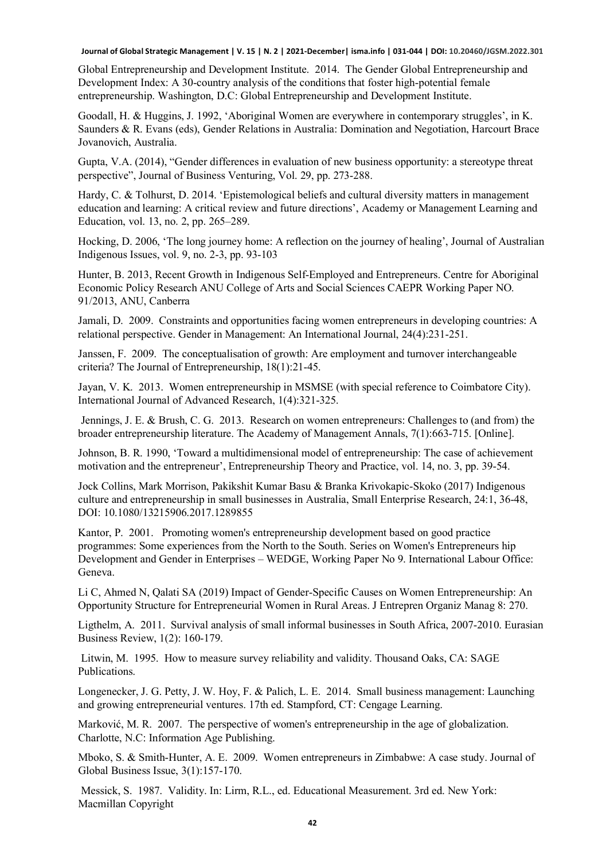Global Entrepreneurship and Development Institute. 2014. The Gender Global Entrepreneurship and Development Index: A 30-country analysis of the conditions that foster high-potential female entrepreneurship. Washington, D.C: Global Entrepreneurship and Development Institute.

Goodall, H. & Huggins, J. 1992, 'Aboriginal Women are everywhere in contemporary struggles', in K. Saunders & R. Evans (eds), Gender Relations in Australia: Domination and Negotiation, Harcourt Brace Jovanovich, Australia.

Gupta, V.A. (2014), "Gender differences in evaluation of new business opportunity: a stereotype threat perspective", Journal of Business Venturing, Vol. 29, pp. 273-288.

Hardy, C. & Tolhurst, D. 2014. 'Epistemological beliefs and cultural diversity matters in management education and learning: A critical review and future directions', Academy or Management Learning and Education, vol. 13, no. 2, pp. 265–289.

Hocking, D. 2006, 'The long journey home: A reflection on the journey of healing', Journal of Australian Indigenous Issues, vol. 9, no. 2-3, pp. 93-103

Hunter, B. 2013, Recent Growth in Indigenous Self-Employed and Entrepreneurs. Centre for Aboriginal Economic Policy Research ANU College of Arts and Social Sciences CAEPR Working Paper NO. 91/2013, ANU, Canberra

Jamali, D. 2009. Constraints and opportunities facing women entrepreneurs in developing countries: A relational perspective. Gender in Management: An International Journal, 24(4):231-251.

Janssen, F. 2009. The conceptualisation of growth: Are employment and turnover interchangeable criteria? The Journal of Entrepreneurship, 18(1):21-45.

Jayan, V. K. 2013. Women entrepreneurship in MSMSE (with special reference to Coimbatore City). International Journal of Advanced Research, 1(4):321-325.

Jennings, J. E. & Brush, C. G. 2013. Research on women entrepreneurs: Challenges to (and from) the broader entrepreneurship literature. The Academy of Management Annals, 7(1):663-715. [Online].

Johnson, B. R. 1990, 'Toward a multidimensional model of entrepreneurship: The case of achievement motivation and the entrepreneur', Entrepreneurship Theory and Practice, vol. 14, no. 3, pp. 39-54.

Jock Collins, Mark Morrison, Pakikshit Kumar Basu & Branka Krivokapic-Skoko (2017) Indigenous culture and entrepreneurship in small businesses in Australia, Small Enterprise Research, 24:1, 36-48, DOI: 10.1080/13215906.2017.1289855

Kantor, P. 2001. Promoting women's entrepreneurship development based on good practice programmes: Some experiences from the North to the South. Series on Women's Entrepreneurs hip Development and Gender in Enterprises – WEDGE, Working Paper No 9. International Labour Office: Geneva.

Li C, Ahmed N, Qalati SA (2019) Impact of Gender-Specific Causes on Women Entrepreneurship: An Opportunity Structure for Entrepreneurial Women in Rural Areas. J Entrepren Organiz Manag 8: 270.

Ligthelm, A. 2011. Survival analysis of small informal businesses in South Africa, 2007-2010. Eurasian Business Review, 1(2): 160-179.

Litwin, M. 1995. How to measure survey reliability and validity. Thousand Oaks, CA: SAGE Publications.

Longenecker, J. G. Petty, J. W. Hoy, F. & Palich, L. E. 2014. Small business management: Launching and growing entrepreneurial ventures. 17th ed. Stampford, CT: Cengage Learning.

Marković, M. R. 2007. The perspective of women's entrepreneurship in the age of globalization. Charlotte, N.C: Information Age Publishing.

Mboko, S. & Smith-Hunter, A. E. 2009. Women entrepreneurs in Zimbabwe: A case study. Journal of Global Business Issue, 3(1):157-170.

Messick, S. 1987. Validity. In: Lirm, R.L., ed. Educational Measurement. 3rd ed. New York: Macmillan Copyright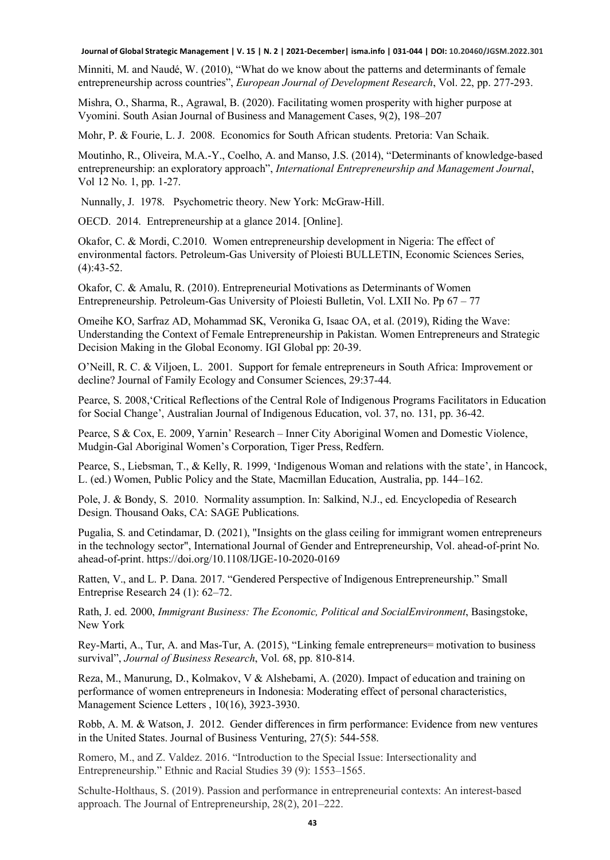Minniti, M. and Naudé, W. (2010), "What do we know about the patterns and determinants of female entrepreneurship across countries", *European Journal of Development Research*, Vol. 22, pp. 277-293.

Mishra, O., Sharma, R., Agrawal, B. (2020). Facilitating women prosperity with higher purpose at Vyomini. South Asian Journal of Business and Management Cases, 9(2), 198–207

Mohr, P. & Fourie, L. J. 2008. Economics for South African students. Pretoria: Van Schaik.

Moutinho, R., Oliveira, M.A.-Y., Coelho, A. and Manso, J.S. (2014), "Determinants of knowledge-based entrepreneurship: an exploratory approach", *International Entrepreneurship and Management Journal*, Vol 12 No. 1, pp. 1-27.

Nunnally, J. 1978. Psychometric theory. New York: McGraw-Hill.

OECD. 2014. Entrepreneurship at a glance 2014. [Online].

Okafor, C. & Mordi, C.2010. Women entrepreneurship development in Nigeria: The effect of environmental factors. Petroleum-Gas University of Ploiesti BULLETIN, Economic Sciences Series, (4):43-52.

Okafor, C. & Amalu, R. (2010). Entrepreneurial Motivations as Determinants of Women Entrepreneurship. Petroleum-Gas University of Ploiesti Bulletin, Vol. LXII No. Pp 67 – 77

Omeihe KO, Sarfraz AD, Mohammad SK, Veronika G, Isaac OA, et al. (2019), Riding the Wave: Understanding the Context of Female Entrepreneurship in Pakistan. Women Entrepreneurs and Strategic Decision Making in the Global Economy. IGI Global pp: 20-39.

O'Neill, R. C. & Viljoen, L. 2001. Support for female entrepreneurs in South Africa: Improvement or decline? Journal of Family Ecology and Consumer Sciences, 29:37-44.

Pearce, S. 2008,'Critical Reflections of the Central Role of Indigenous Programs Facilitators in Education for Social Change', Australian Journal of Indigenous Education, vol. 37, no. 131, pp. 36-42.

Pearce, S & Cox, E. 2009, Yarnin' Research – Inner City Aboriginal Women and Domestic Violence, Mudgin-Gal Aboriginal Women's Corporation, Tiger Press, Redfern.

Pearce, S., Liebsman, T., & Kelly, R. 1999, 'Indigenous Woman and relations with the state', in Hancock, L. (ed.) Women, Public Policy and the State, Macmillan Education, Australia, pp. 144–162.

Pole, J. & Bondy, S. 2010. Normality assumption. In: Salkind, N.J., ed. Encyclopedia of Research Design. Thousand Oaks, CA: SAGE Publications.

Pugalia, S. and Cetindamar, D. (2021), "Insights on the glass ceiling for immigrant women entrepreneurs in the technology sector", International Journal of Gender and Entrepreneurship, Vol. ahead-of-print No. ahead-of-print. https://doi.org/10.1108/IJGE-10-2020-0169

Ratten, V., and L. P. Dana. 2017. "Gendered Perspective of Indigenous Entrepreneurship." Small Entreprise Research 24 (1): 62–72.

Rath, J. ed. 2000, *Immigrant Business: The Economic, Political and SocialEnvironment*, Basingstoke, New York

Rey-Marti, A., Tur, A. and Mas-Tur, A. (2015), "Linking female entrepreneurs= motivation to business survival", *Journal of Business Research*, Vol. 68, pp. 810-814.

Reza, M., Manurung, D., Kolmakov, V & Alshebami, A. (2020). Impact of education and training on performance of women entrepreneurs in Indonesia: Moderating effect of personal characteristics, Management Science Letters , 10(16), 3923-3930.

Robb, A. M. & Watson, J. 2012. Gender differences in firm performance: Evidence from new ventures in the United States. Journal of Business Venturing, 27(5): 544-558.

Romero, M., and Z. Valdez. 2016. "Introduction to the Special Issue: Intersectionality and Entrepreneurship." Ethnic and Racial Studies 39 (9): 1553–1565.

Schulte-Holthaus, S. (2019). Passion and performance in entrepreneurial contexts: An interest-based approach. The Journal of Entrepreneurship, 28(2), 201–222.